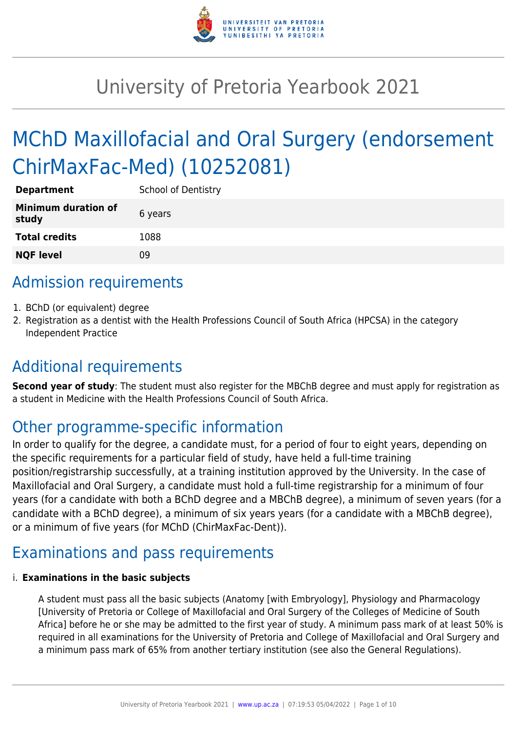

# University of Pretoria Yearbook 2021

# MChD Maxillofacial and Oral Surgery (endorsement ChirMaxFac-Med) (10252081)

| <b>Department</b>                   | <b>School of Dentistry</b> |
|-------------------------------------|----------------------------|
| <b>Minimum duration of</b><br>study | 6 years                    |
| <b>Total credits</b>                | 1088                       |
| <b>NQF level</b>                    | ΩÓ                         |

# Admission requirements

- 1. BChD (or equivalent) degree
- 2. Registration as a dentist with the Health Professions Council of South Africa (HPCSA) in the category Independent Practice

# Additional requirements

**Second year of study**: The student must also register for the MBChB degree and must apply for registration as a student in Medicine with the Health Professions Council of South Africa.

# Other programme-specific information

In order to qualify for the degree, a candidate must, for a period of four to eight years, depending on the specific requirements for a particular field of study, have held a full-time training position/registrarship successfully, at a training institution approved by the University. In the case of Maxillofacial and Oral Surgery, a candidate must hold a full-time registrarship for a minimum of four years (for a candidate with both a BChD degree and a MBChB degree), a minimum of seven years (for a candidate with a BChD degree), a minimum of six years years (for a candidate with a MBChB degree), or a minimum of five years (for MChD (ChirMaxFac-Dent)).

# Examinations and pass requirements

#### i. **Examinations in the basic subjects**

A student must pass all the basic subjects (Anatomy [with Embryology], Physiology and Pharmacology [University of Pretoria or College of Maxillofacial and Oral Surgery of the Colleges of Medicine of South Africa] before he or she may be admitted to the first year of study. A minimum pass mark of at least 50% is required in all examinations for the University of Pretoria and College of Maxillofacial and Oral Surgery and a minimum pass mark of 65% from another tertiary institution (see also the General Regulations).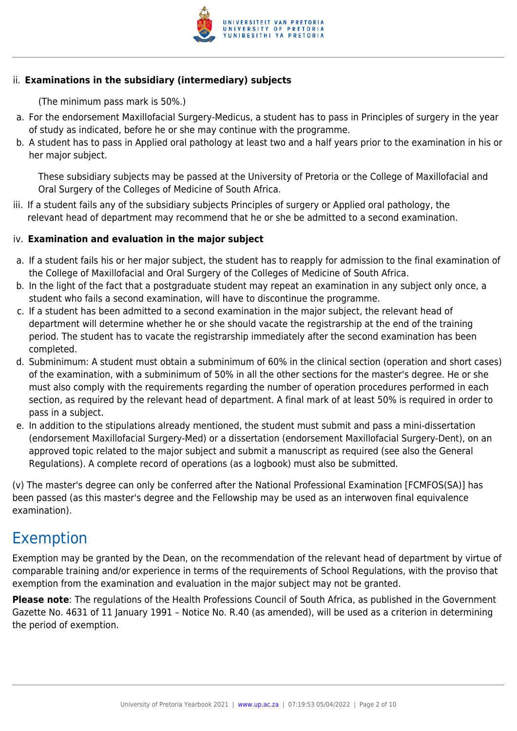

#### ii. **Examinations in the subsidiary (intermediary) subjects**

(The minimum pass mark is 50%.)

- a. For the endorsement Maxillofacial Surgery-Medicus, a student has to pass in Principles of surgery in the year of study as indicated, before he or she may continue with the programme.
- b. A student has to pass in Applied oral pathology at least two and a half years prior to the examination in his or her major subject.

These subsidiary subjects may be passed at the University of Pretoria or the College of Maxillofacial and Oral Surgery of the Colleges of Medicine of South Africa.

iii. If a student fails any of the subsidiary subjects Principles of surgery or Applied oral pathology, the relevant head of department may recommend that he or she be admitted to a second examination.

#### iv. **Examination and evaluation in the major subject**

- a. If a student fails his or her major subject, the student has to reapply for admission to the final examination of the College of Maxillofacial and Oral Surgery of the Colleges of Medicine of South Africa.
- b. In the light of the fact that a postgraduate student may repeat an examination in any subject only once, a student who fails a second examination, will have to discontinue the programme.
- c. If a student has been admitted to a second examination in the major subject, the relevant head of department will determine whether he or she should vacate the registrarship at the end of the training period. The student has to vacate the registrarship immediately after the second examination has been completed.
- d. Subminimum: A student must obtain a subminimum of 60% in the clinical section (operation and short cases) of the examination, with a subminimum of 50% in all the other sections for the master's degree. He or she must also comply with the requirements regarding the number of operation procedures performed in each section, as required by the relevant head of department. A final mark of at least 50% is required in order to pass in a subject.
- e. In addition to the stipulations already mentioned, the student must submit and pass a mini-dissertation (endorsement Maxillofacial Surgery-Med) or a dissertation (endorsement Maxillofacial Surgery-Dent), on an approved topic related to the major subject and submit a manuscript as required (see also the General Regulations). A complete record of operations (as a logbook) must also be submitted.

(v) The master's degree can only be conferred after the National Professional Examination [FCMFOS(SA)] has been passed (as this master's degree and the Fellowship may be used as an interwoven final equivalence examination).

### Exemption

Exemption may be granted by the Dean, on the recommendation of the relevant head of department by virtue of comparable training and/or experience in terms of the requirements of School Regulations, with the proviso that exemption from the examination and evaluation in the major subject may not be granted.

**Please note**: The regulations of the Health Professions Council of South Africa, as published in the Government Gazette No. 4631 of 11 January 1991 – Notice No. R.40 (as amended), will be used as a criterion in determining the period of exemption.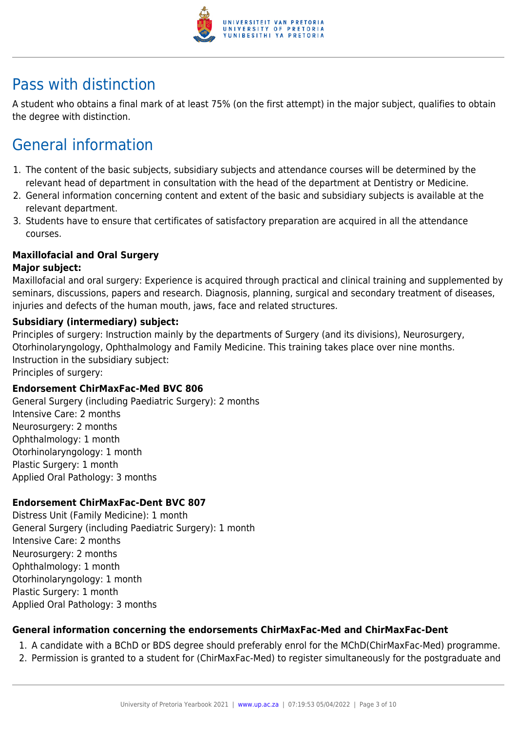

## Pass with distinction

A student who obtains a final mark of at least 75% (on the first attempt) in the major subject, qualifies to obtain the degree with distinction.

# General information

- 1. The content of the basic subjects, subsidiary subjects and attendance courses will be determined by the relevant head of department in consultation with the head of the department at Dentistry or Medicine.
- 2. General information concerning content and extent of the basic and subsidiary subjects is available at the relevant department.
- 3. Students have to ensure that certificates of satisfactory preparation are acquired in all the attendance courses.

#### **Maxillofacial and Oral Surgery**

#### **Major subject:**

Maxillofacial and oral surgery: Experience is acquired through practical and clinical training and supplemented by seminars, discussions, papers and research. Diagnosis, planning, surgical and secondary treatment of diseases, injuries and defects of the human mouth, jaws, face and related structures.

#### **Subsidiary (intermediary) subject:**

Principles of surgery: Instruction mainly by the departments of Surgery (and its divisions), Neurosurgery, Otorhinolaryngology, Ophthalmology and Family Medicine. This training takes place over nine months. Instruction in the subsidiary subject:

Principles of surgery:

#### **Endorsement ChirMaxFac-Med BVC 806**

General Surgery (including Paediatric Surgery): 2 months Intensive Care: 2 months Neurosurgery: 2 months Ophthalmology: 1 month Otorhinolaryngology: 1 month Plastic Surgery: 1 month Applied Oral Pathology: 3 months

#### **Endorsement ChirMaxFac-Dent BVC 807**

Distress Unit (Family Medicine): 1 month General Surgery (including Paediatric Surgery): 1 month Intensive Care: 2 months Neurosurgery: 2 months Ophthalmology: 1 month Otorhinolaryngology: 1 month Plastic Surgery: 1 month Applied Oral Pathology: 3 months

#### **General information concerning the endorsements ChirMaxFac-Med and ChirMaxFac-Dent**

- 1. A candidate with a BChD or BDS degree should preferably enrol for the MChD(ChirMaxFac-Med) programme.
- 2. Permission is granted to a student for (ChirMaxFac-Med) to register simultaneously for the postgraduate and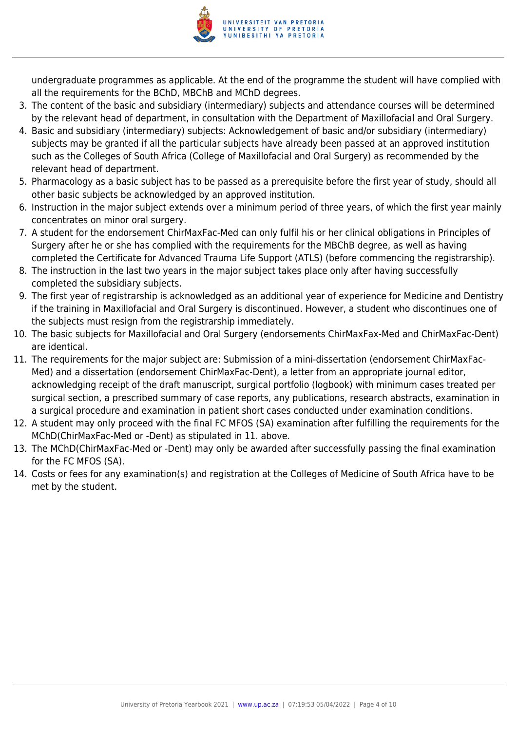

undergraduate programmes as applicable. At the end of the programme the student will have complied with all the requirements for the BChD, MBChB and MChD degrees.

- 3. The content of the basic and subsidiary (intermediary) subjects and attendance courses will be determined by the relevant head of department, in consultation with the Department of Maxillofacial and Oral Surgery.
- 4. Basic and subsidiary (intermediary) subjects: Acknowledgement of basic and/or subsidiary (intermediary) subjects may be granted if all the particular subjects have already been passed at an approved institution such as the Colleges of South Africa (College of Maxillofacial and Oral Surgery) as recommended by the relevant head of department.
- 5. Pharmacology as a basic subject has to be passed as a prerequisite before the first year of study, should all other basic subjects be acknowledged by an approved institution.
- 6. Instruction in the major subject extends over a minimum period of three years, of which the first year mainly concentrates on minor oral surgery.
- 7. A student for the endorsement ChirMaxFac-Med can only fulfil his or her clinical obligations in Principles of Surgery after he or she has complied with the requirements for the MBChB degree, as well as having completed the Certificate for Advanced Trauma Life Support (ATLS) (before commencing the registrarship).
- 8. The instruction in the last two years in the major subject takes place only after having successfully completed the subsidiary subjects.
- 9. The first year of registrarship is acknowledged as an additional year of experience for Medicine and Dentistry if the training in Maxillofacial and Oral Surgery is discontinued. However, a student who discontinues one of the subjects must resign from the registrarship immediately.
- 10. The basic subjects for Maxillofacial and Oral Surgery (endorsements ChirMaxFax-Med and ChirMaxFac-Dent) are identical.
- 11. The requirements for the major subject are: Submission of a mini-dissertation (endorsement ChirMaxFac-Med) and a dissertation (endorsement ChirMaxFac-Dent), a letter from an appropriate journal editor, acknowledging receipt of the draft manuscript, surgical portfolio (logbook) with minimum cases treated per surgical section, a prescribed summary of case reports, any publications, research abstracts, examination in a surgical procedure and examination in patient short cases conducted under examination conditions.
- 12. A student may only proceed with the final FC MFOS (SA) examination after fulfilling the requirements for the MChD(ChirMaxFac-Med or -Dent) as stipulated in 11. above.
- 13. The MChD(ChirMaxFac-Med or -Dent) may only be awarded after successfully passing the final examination for the FC MFOS (SA).
- 14. Costs or fees for any examination(s) and registration at the Colleges of Medicine of South Africa have to be met by the student.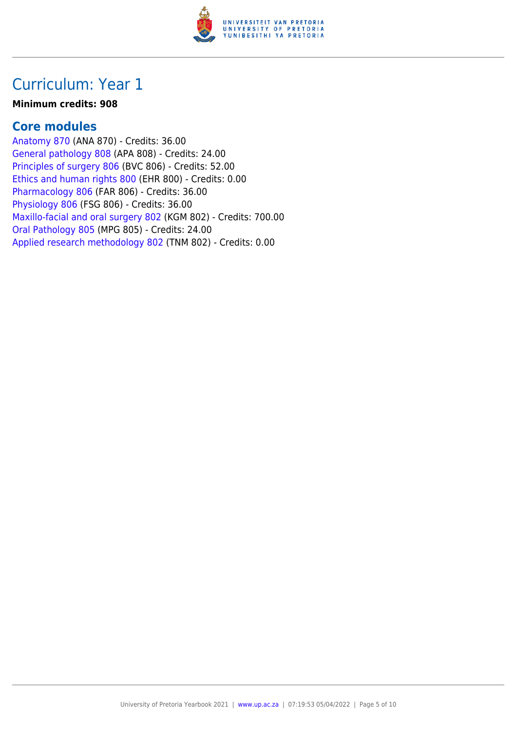

#### **Minimum credits: 908**

#### **Core modules**

[Anatomy 870](https://www.up.ac.za/parents/yearbooks/2021/modules/view/ANA 870) (ANA 870) - Credits: 36.00 [General pathology 808](https://www.up.ac.za/parents/yearbooks/2021/modules/view/APA 808) (APA 808) - Credits: 24.00 [Principles of surgery 806](https://www.up.ac.za/parents/yearbooks/2021/modules/view/BVC 806) (BVC 806) - Credits: 52.00 [Ethics and human rights 800](https://www.up.ac.za/parents/yearbooks/2021/modules/view/EHR 800) (EHR 800) - Credits: 0.00 [Pharmacology 806](https://www.up.ac.za/parents/yearbooks/2021/modules/view/FAR 806) (FAR 806) - Credits: 36.00 [Physiology 806](https://www.up.ac.za/parents/yearbooks/2021/modules/view/FSG 806) (FSG 806) - Credits: 36.00 [Maxillo-facial and oral surgery 802](https://www.up.ac.za/parents/yearbooks/2021/modules/view/KGM 802) (KGM 802) - Credits: 700.00 [Oral Pathology 805](https://www.up.ac.za/parents/yearbooks/2021/modules/view/MPG 805) (MPG 805) - Credits: 24.00 [Applied research methodology 802](https://www.up.ac.za/parents/yearbooks/2021/modules/view/TNM 802) (TNM 802) - Credits: 0.00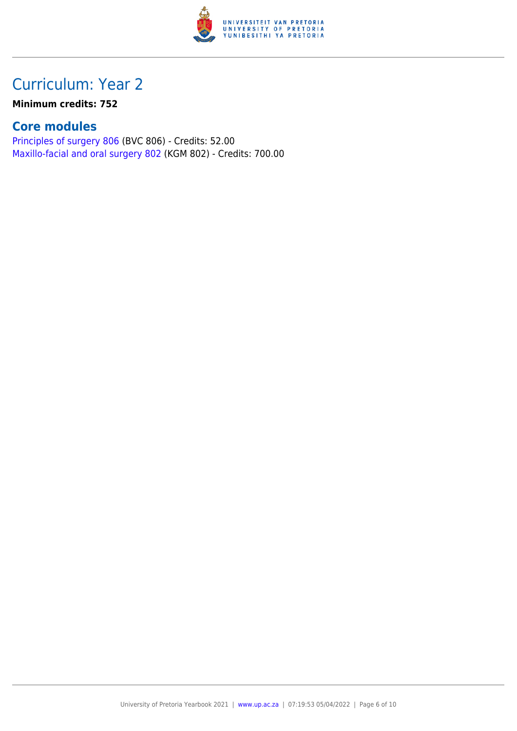

#### **Minimum credits: 752**

### **Core modules**

[Principles of surgery 806](https://www.up.ac.za/parents/yearbooks/2021/modules/view/BVC 806) (BVC 806) - Credits: 52.00 [Maxillo-facial and oral surgery 802](https://www.up.ac.za/parents/yearbooks/2021/modules/view/KGM 802) (KGM 802) - Credits: 700.00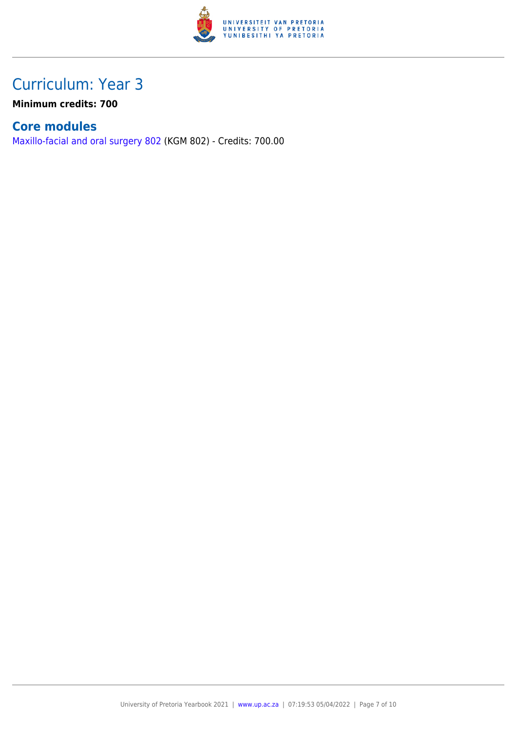

**Minimum credits: 700**

### **Core modules**

[Maxillo-facial and oral surgery 802](https://www.up.ac.za/parents/yearbooks/2021/modules/view/KGM 802) (KGM 802) - Credits: 700.00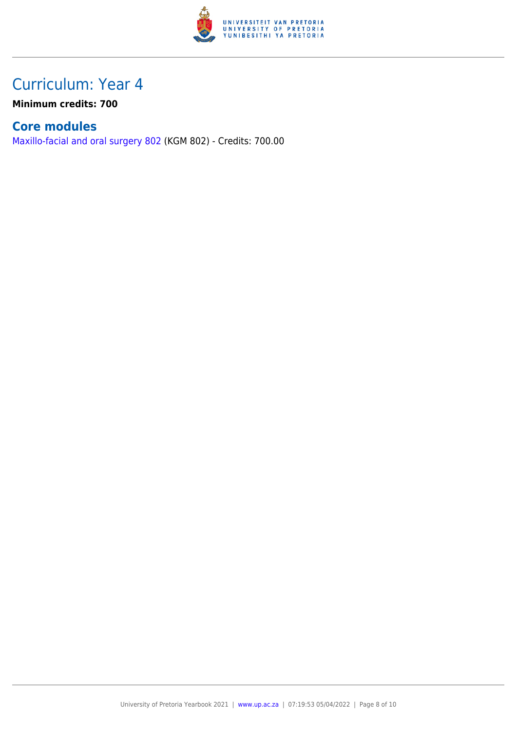

**Minimum credits: 700**

### **Core modules**

[Maxillo-facial and oral surgery 802](https://www.up.ac.za/parents/yearbooks/2021/modules/view/KGM 802) (KGM 802) - Credits: 700.00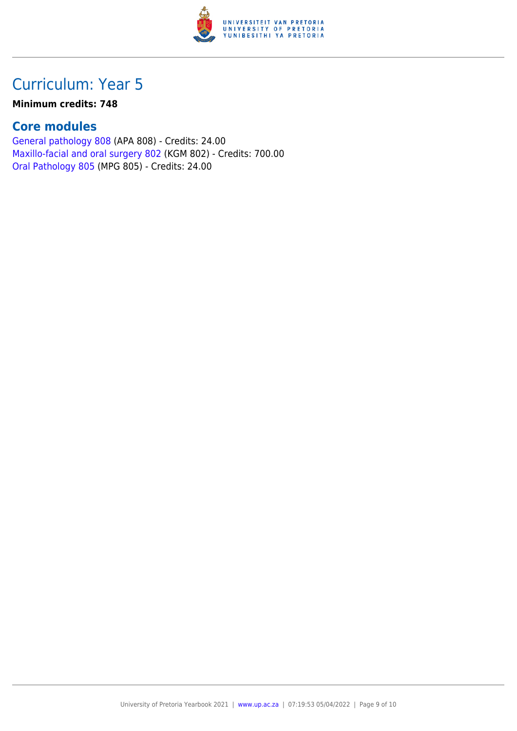

#### **Minimum credits: 748**

### **Core modules**

[General pathology 808](https://www.up.ac.za/parents/yearbooks/2021/modules/view/APA 808) (APA 808) - Credits: 24.00 [Maxillo-facial and oral surgery 802](https://www.up.ac.za/parents/yearbooks/2021/modules/view/KGM 802) (KGM 802) - Credits: 700.00 [Oral Pathology 805](https://www.up.ac.za/parents/yearbooks/2021/modules/view/MPG 805) (MPG 805) - Credits: 24.00